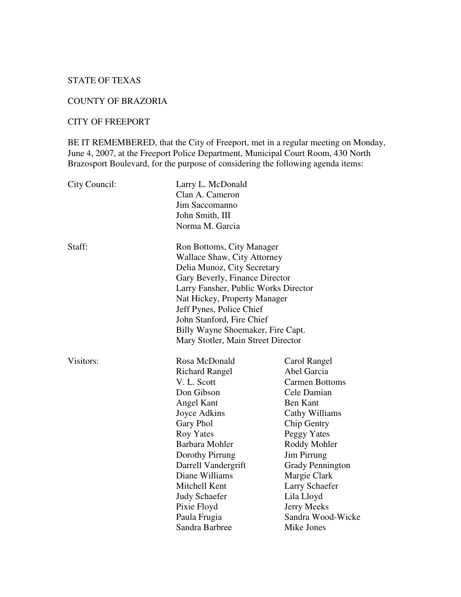# STATE OF TEXAS

### COUNTY OF BRAZORIA

#### CITY OF FREEPORT

BE IT REMEMBERED, that the City of Freeport, met in a regular meeting on Monday, June 4, 2007, at the Freeport Police Department, Municipal Court Room, 430 North Brazosport Boulevard, for the purpose of considering the following agenda items:

| City Council: | Larry L. McDonald<br>Clan A. Cameron<br>Jim Saccomanno<br>John Smith, III<br>Norma M. Garcia                                                                                                                                                                                                                                                 |                                                                                                                                                                                                                                                                                                           |
|---------------|----------------------------------------------------------------------------------------------------------------------------------------------------------------------------------------------------------------------------------------------------------------------------------------------------------------------------------------------|-----------------------------------------------------------------------------------------------------------------------------------------------------------------------------------------------------------------------------------------------------------------------------------------------------------|
| Staff:        | Ron Bottoms, City Manager<br><b>Wallace Shaw, City Attorney</b><br>Delia Munoz, City Secretary<br>Gary Beverly, Finance Director<br>Larry Fansher, Public Works Director<br>Nat Hickey, Property Manager<br>Jeff Pynes, Police Chief<br>John Stanford, Fire Chief<br>Billy Wayne Shoemaker, Fire Capt.<br>Mary Stotler, Main Street Director |                                                                                                                                                                                                                                                                                                           |
| Visitors:     | Rosa McDonald<br><b>Richard Rangel</b><br>V. L. Scott<br>Don Gibson<br>Angel Kant<br>Joyce Adkins<br>Gary Phol<br><b>Roy Yates</b><br>Barbara Mohler<br>Dorothy Pirrung<br>Darrell Vandergrift<br>Diane Williams<br>Mitchell Kent<br><b>Judy Schaefer</b><br>Pixie Floyd<br>Paula Frugia<br>Sandra Barbree                                   | Carol Rangel<br>Abel Garcia<br><b>Carmen Bottoms</b><br>Cele Damian<br><b>Ben Kant</b><br>Cathy Williams<br>Chip Gentry<br>Peggy Yates<br>Roddy Mohler<br><b>Jim Pirrung</b><br><b>Grady Pennington</b><br>Margie Clark<br>Larry Schaefer<br>Lila Lloyd<br>Jerry Meeks<br>Sandra Wood-Wicke<br>Mike Jones |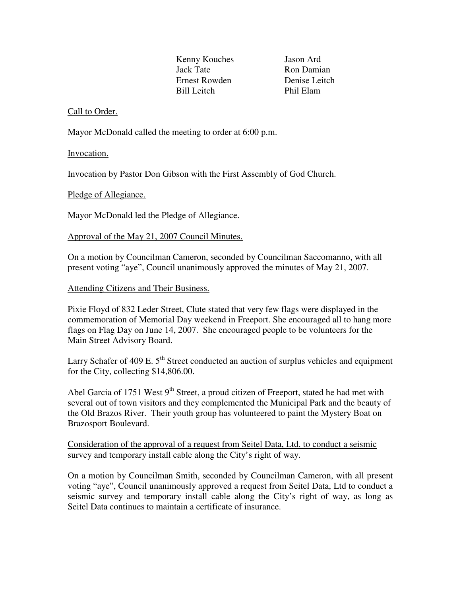Kenny Kouches Jason Ard Jack Tate Ron Damian Ernest Rowden Denise Leitch Bill Leitch Phil Elam

# Call to Order.

Mayor McDonald called the meeting to order at 6:00 p.m.

#### Invocation.

Invocation by Pastor Don Gibson with the First Assembly of God Church.

Pledge of Allegiance.

Mayor McDonald led the Pledge of Allegiance.

### Approval of the May 21, 2007 Council Minutes.

On a motion by Councilman Cameron, seconded by Councilman Saccomanno, with all present voting "aye", Council unanimously approved the minutes of May 21, 2007.

### Attending Citizens and Their Business.

Pixie Floyd of 832 Leder Street, Clute stated that very few flags were displayed in the commemoration of Memorial Day weekend in Freeport. She encouraged all to hang more flags on Flag Day on June 14, 2007. She encouraged people to be volunteers for the Main Street Advisory Board.

Larry Schafer of 409 E. 5<sup>th</sup> Street conducted an auction of surplus vehicles and equipment for the City, collecting \$14,806.00.

Abel Garcia of 1751 West 9<sup>th</sup> Street, a proud citizen of Freeport, stated he had met with several out of town visitors and they complemented the Municipal Park and the beauty of the Old Brazos River. Their youth group has volunteered to paint the Mystery Boat on Brazosport Boulevard.

# Consideration of the approval of a request from Seitel Data, Ltd. to conduct a seismic survey and temporary install cable along the City's right of way.

On a motion by Councilman Smith, seconded by Councilman Cameron, with all present voting "aye", Council unanimously approved a request from Seitel Data, Ltd to conduct a seismic survey and temporary install cable along the City's right of way, as long as Seitel Data continues to maintain a certificate of insurance.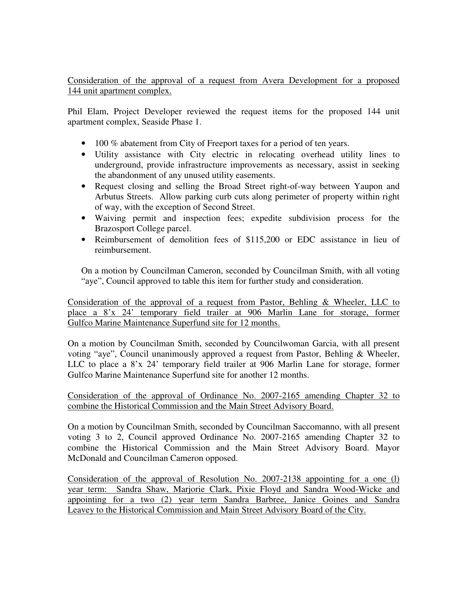Consideration of the approval of a request from Avera Development for a proposed 144 unit apartment complex.

Phil Elam, Project Developer reviewed the request items for the proposed 144 unit apartment complex, Seaside Phase 1.

- 100 % abatement from City of Freeport taxes for a period of ten years.
- Utility assistance with City electric in relocating overhead utility lines to underground, provide infrastructure improvements as necessary, assist in seeking the abandonment of any unused utility easements.
- Request closing and selling the Broad Street right-of-way between Yaupon and Arbutus Streets. Allow parking curb cuts along perimeter of property within right of way, with the exception of Second Street.
- Waiving permit and inspection fees; expedite subdivision process for the Brazosport College parcel.
- Reimbursement of demolition fees of \$115,200 or EDC assistance in lieu of reimbursement.

On a motion by Councilman Cameron, seconded by Councilman Smith, with all voting "aye", Council approved to table this item for further study and consideration.

Consideration of the approval of a request from Pastor, Behling & Wheeler, LLC to place a 8'x 24' temporary field trailer at 906 Marlin Lane for storage, former Gulfco Marine Maintenance Superfund site for 12 months.

On a motion by Councilman Smith, seconded by Councilwoman Garcia, with all present voting "aye", Council unanimously approved a request from Pastor, Behling & Wheeler, LLC to place a 8'x 24' temporary field trailer at 906 Marlin Lane for storage, former Gulfco Marine Maintenance Superfund site for another 12 months.

Consideration of the approval of Ordinance No. 2007-2165 amending Chapter 32 to combine the Historical Commission and the Main Street Advisory Board.

On a motion by Councilman Smith, seconded by Councilman Saccomanno, with all present voting 3 to 2, Council approved Ordinance No. 2007-2165 amending Chapter 32 to combine the Historical Commission and the Main Street Advisory Board. Mayor McDonald and Councilman Cameron opposed.

Consideration of the approval of Resolution No. 2007-2138 appointing for a one (l) year term: Sandra Shaw, Marjorie Clark, Pixie Floyd and Sandra Wood-Wicke and appointing for a two (2) year term Sandra Barbree, Janice Goines and Sandra Leavey to the Historical Commission and Main Street Advisory Board of the City.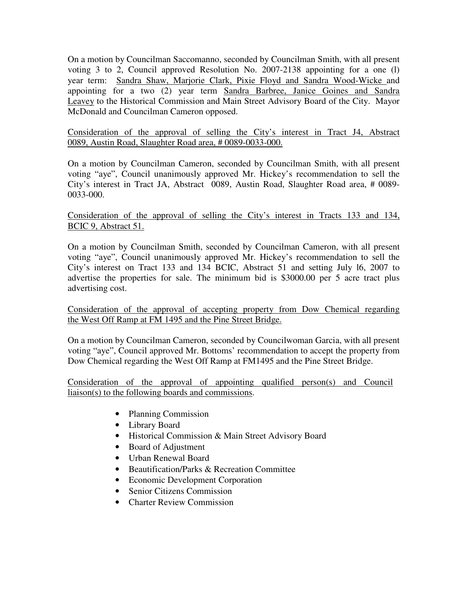On a motion by Councilman Saccomanno, seconded by Councilman Smith, with all present voting 3 to 2, Council approved Resolution No. 2007-2138 appointing for a one (l) year term: Sandra Shaw, Marjorie Clark, Pixie Floyd and Sandra Wood-Wicke and appointing for a two (2) year term Sandra Barbree, Janice Goines and Sandra Leavey to the Historical Commission and Main Street Advisory Board of the City. Mayor McDonald and Councilman Cameron opposed.

### Consideration of the approval of selling the City's interest in Tract J4, Abstract 0089, Austin Road, Slaughter Road area, # 0089-0033-000.

On a motion by Councilman Cameron, seconded by Councilman Smith, with all present voting "aye", Council unanimously approved Mr. Hickey's recommendation to sell the City's interest in Tract JA, Abstract 0089, Austin Road, Slaughter Road area, # 0089- 0033-000.

### Consideration of the approval of selling the City's interest in Tracts 133 and 134, BCIC 9, Abstract 51.

On a motion by Councilman Smith, seconded by Councilman Cameron, with all present voting "aye", Council unanimously approved Mr. Hickey's recommendation to sell the City's interest on Tract 133 and 134 BCIC, Abstract 51 and setting July l6, 2007 to advertise the properties for sale. The minimum bid is \$3000.00 per 5 acre tract plus advertising cost.

Consideration of the approval of accepting property from Dow Chemical regarding the West Off Ramp at FM 1495 and the Pine Street Bridge.

On a motion by Councilman Cameron, seconded by Councilwoman Garcia, with all present voting "aye", Council approved Mr. Bottoms' recommendation to accept the property from Dow Chemical regarding the West Off Ramp at FM1495 and the Pine Street Bridge.

Consideration of the approval of appointing qualified person(s) and Council liaison(s) to the following boards and commissions.

- Planning Commission
- Library Board
- Historical Commission & Main Street Advisory Board
- Board of Adjustment
- Urban Renewal Board
- Beautification/Parks & Recreation Committee
- Economic Development Corporation
- Senior Citizens Commission
- Charter Review Commission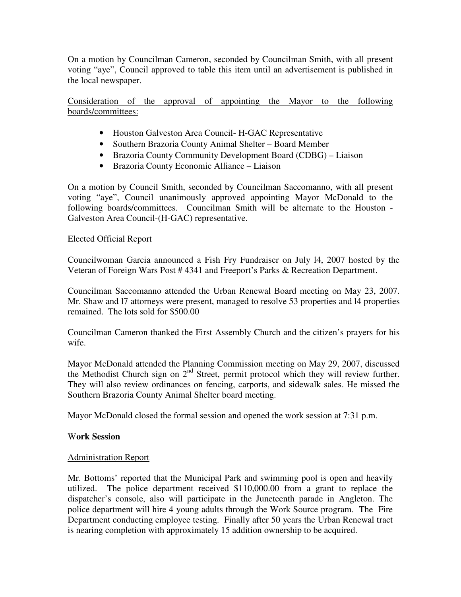On a motion by Councilman Cameron, seconded by Councilman Smith, with all present voting "aye", Council approved to table this item until an advertisement is published in the local newspaper.

Consideration of the approval of appointing the Mayor to the following boards/committees:

- Houston Galveston Area Council- H-GAC Representative
- Southern Brazoria County Animal Shelter Board Member
- Brazoria County Community Development Board (CDBG) Liaison
- Brazoria County Economic Alliance Liaison

On a motion by Council Smith, seconded by Councilman Saccomanno, with all present voting "aye", Council unanimously approved appointing Mayor McDonald to the following boards/committees. Councilman Smith will be alternate to the Houston - Galveston Area Council-(H-GAC) representative.

### Elected Official Report

Councilwoman Garcia announced a Fish Fry Fundraiser on July l4, 2007 hosted by the Veteran of Foreign Wars Post # 4341 and Freeport's Parks & Recreation Department.

Councilman Saccomanno attended the Urban Renewal Board meeting on May 23, 2007. Mr. Shaw and l7 attorneys were present, managed to resolve 53 properties and l4 properties remained. The lots sold for \$500.00

Councilman Cameron thanked the First Assembly Church and the citizen's prayers for his wife.

Mayor McDonald attended the Planning Commission meeting on May 29, 2007, discussed the Methodist Church sign on 2<sup>nd</sup> Street, permit protocol which they will review further. They will also review ordinances on fencing, carports, and sidewalk sales. He missed the Southern Brazoria County Animal Shelter board meeting.

Mayor McDonald closed the formal session and opened the work session at 7:31 p.m.

#### W**ork Session**

#### Administration Report

Mr. Bottoms' reported that the Municipal Park and swimming pool is open and heavily utilized. The police department received \$110,000.00 from a grant to replace the dispatcher's console, also will participate in the Juneteenth parade in Angleton. The police department will hire 4 young adults through the Work Source program. The Fire Department conducting employee testing. Finally after 50 years the Urban Renewal tract is nearing completion with approximately 15 addition ownership to be acquired.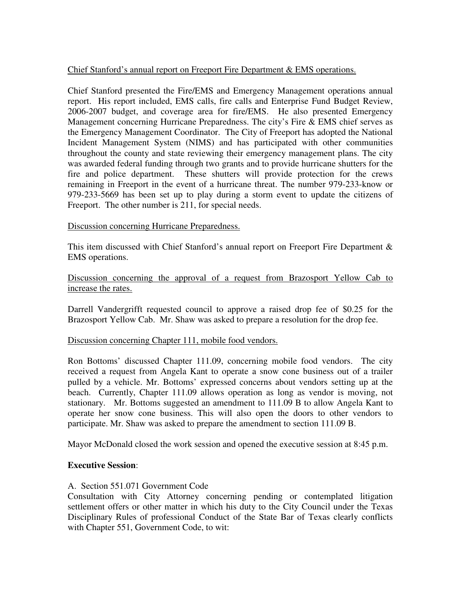### Chief Stanford's annual report on Freeport Fire Department & EMS operations.

Chief Stanford presented the Fire/EMS and Emergency Management operations annual report. His report included, EMS calls, fire calls and Enterprise Fund Budget Review, 2006-2007 budget, and coverage area for fire/EMS. He also presented Emergency Management concerning Hurricane Preparedness. The city's Fire & EMS chief serves as the Emergency Management Coordinator. The City of Freeport has adopted the National Incident Management System (NIMS) and has participated with other communities throughout the county and state reviewing their emergency management plans. The city was awarded federal funding through two grants and to provide hurricane shutters for the fire and police department. These shutters will provide protection for the crews remaining in Freeport in the event of a hurricane threat. The number 979-233-know or 979-233-5669 has been set up to play during a storm event to update the citizens of Freeport. The other number is 211, for special needs.

#### Discussion concerning Hurricane Preparedness.

This item discussed with Chief Stanford's annual report on Freeport Fire Department & EMS operations.

### Discussion concerning the approval of a request from Brazosport Yellow Cab to increase the rates.

Darrell Vandergrifft requested council to approve a raised drop fee of \$0.25 for the Brazosport Yellow Cab. Mr. Shaw was asked to prepare a resolution for the drop fee.

#### Discussion concerning Chapter 111, mobile food vendors.

Ron Bottoms' discussed Chapter 111.09, concerning mobile food vendors. The city received a request from Angela Kant to operate a snow cone business out of a trailer pulled by a vehicle. Mr. Bottoms' expressed concerns about vendors setting up at the beach. Currently, Chapter 111.09 allows operation as long as vendor is moving, not stationary. Mr. Bottoms suggested an amendment to 111.09 B to allow Angela Kant to operate her snow cone business. This will also open the doors to other vendors to participate. Mr. Shaw was asked to prepare the amendment to section 111.09 B.

Mayor McDonald closed the work session and opened the executive session at 8:45 p.m.

#### **Executive Session**:

#### A. Section 551.071 Government Code

Consultation with City Attorney concerning pending or contemplated litigation settlement offers or other matter in which his duty to the City Council under the Texas Disciplinary Rules of professional Conduct of the State Bar of Texas clearly conflicts with Chapter 551, Government Code, to wit: